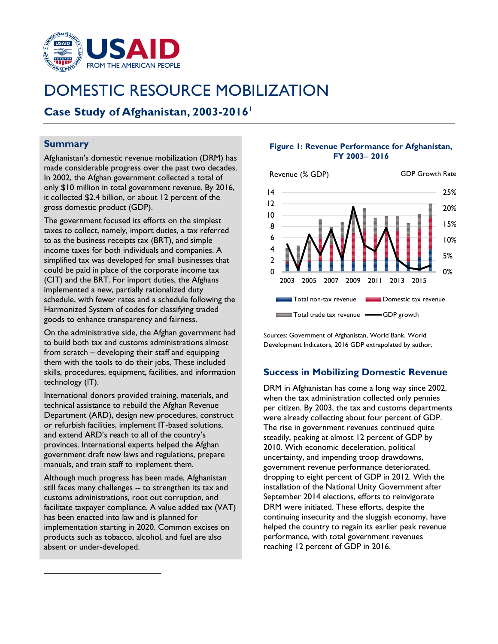

# DOMESTIC RESOURCE MOBILIZATION

## **Case Study of Afghanistan, 2003-2016**

### **Summary**

Afghanistan's domestic revenue mobilization (DRM) has made considerable progress over the past two decades. In 2002, the Afghan government collected a total of only \$10 million in total government revenue. By 2016, it collected \$2.4 billion, or about 12 percent of the gross domestic product (GDP).

The government focused its efforts on the simplest taxes to collect, namely, import duties, a tax referred to as the business receipts tax (BRT), and simple income taxes for both individuals and companies. A simplified tax was developed for small businesses that could be paid in place of the corporate income tax (CIT) and the BRT. For import duties, the Afghans implemented a new, partially rationalized duty schedule, with fewer rates and a schedule following the Harmonized System of codes for classifying traded goods to enhance transparency and fairness.

On the administrative side, the Afghan government had to build both tax and customs administrations almost from scratch – developing their staff and equipping them with the tools to do their jobs, These included skills, procedures, equipment, facilities, and information technology (IT).

International donors provided training, materials, and technical assistance to rebuild the Afghan Revenue Department (ARD), design new procedures, construct or refurbish facilities, implement IT-based solutions, and extend ARD's reach to all of the country's provinces. International experts helped the Afghan government draft new laws and regulations, prepare manuals, and train staff to implement them.

<span id="page-0-0"></span>Although much progress has been made, Afghanistan still faces many challenges -- to strengthen its tax and customs administrations, root out corruption, and facilitate taxpayer compliance. A value added tax (VAT) has been enacted into law and is planned for implementation starting in 2020. Common excises on products such as tobacco, alcohol, and fuel are also absent or under-developed.

#### **Figure 1: Revenue Performance for Afghanistan, FY 2003**− **2016**



Sources: Government of Afghanistan, World Bank, World Development Indicators, 2016 GDP extrapolated by author.

## **Success in Mobilizing Domestic Revenue**

DRM in Afghanistan has come a long way since 2002, when the tax administration collected only pennies per citizen. By 2003, the tax and customs departments were already collecting about four percent of GDP. The rise in government revenues continued quite steadily, peaking at almost 12 percent of GDP by 2010. With economic deceleration, political uncertainty, and impending troop drawdowns, government revenue performance deteriorated, dropping to eight percent of GDP in 2012. With the installation of the National Unity Government after September 2014 elections, efforts to reinvigorate DRM were initiated. These efforts, despite the continuing insecurity and the sluggish economy, have helped the country to regain its earlier peak revenue performance, with total government revenues reaching 12 percent of GDP in 2016.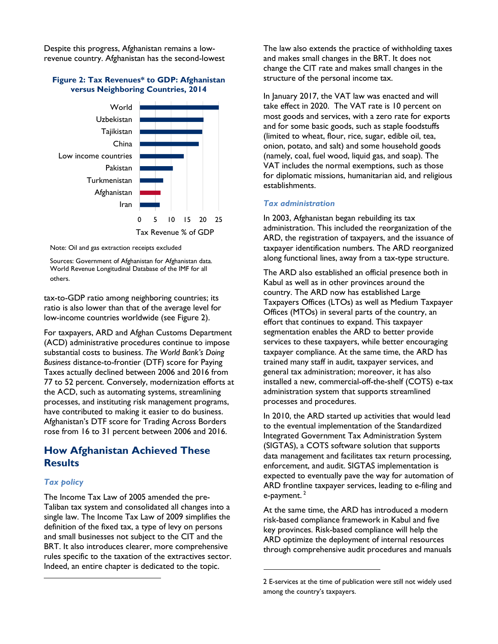Despite this progress, Afghanistan remains a lowrevenue country. Afghanistan has the second-lowest

#### **Figure 2: Tax Revenues\* to GDP: Afghanistan versus Neighboring Countries, 2014**



Note: Oil and gas extraction receipts excluded

Sources: Government of Afghanistan for Afghanistan data. World Revenue Longitudinal Database of the IMF for all others.

tax-to-GDP ratio among neighboring countries; its ratio is also lower than that of the average level [fo](#page-1-0)r low-income countries worldwide (see Figure 2).

For taxpayers, ARD and Afghan Customs Department (ACD) administrative procedures continue to impose substantial costs to business. *The World Bank's Doing Business* distance-to-frontier (DTF) score for Paying Taxes actually declined between 2006 and 2016 from 77 to 52 percent. Conversely, modernization efforts at the ACD, such as automating systems, streamlining processes, and instituting risk management programs, have contributed to making it easier to do business. Afghanistan's DTF score for Trading Across Borders rose from 16 to 31 percent between 2006 and 2016.

## **How Afghanistan Achieved These Results**

#### *Tax policy*

<span id="page-1-1"></span><span id="page-1-0"></span>The Income Tax Law of 2005 amended the pre-Taliban tax system and consolidated all changes into a single law. The Income Tax Law of 2009 simplifies the definition of the fixed tax, a type of levy on persons and small businesses not subject to the CIT and the BRT. It also introduces clearer, more comprehensive rules specific to the taxation of the extractives sector. Indeed, an entire chapter is dedicated to the topic.

The law also extends the practice of withholding taxes and makes small changes in the BRT. It does not change the CIT rate and makes small changes in the structure of the personal income tax.

In January 2017, the VAT law was enacted and will take effect in 2020. The VAT rate is 10 percent on most goods and services, with a zero rate for exports and for some basic goods, such as staple foodstuffs (limited to wheat, flour, rice, sugar, edible oil, tea, onion, potato, and salt) and some household goods (namely, coal, fuel wood, liquid gas, and soap). The VAT includes the normal exemptions, such as those for diplomatic missions, humanitarian aid, and religious establishments.

#### *Tax administration*

In 2003, Afghanistan began rebuilding its tax administration. This included the reorganization of the ARD, the registration of taxpayers, and the issuance of taxpayer identification numbers. The ARD reorganized along functional lines, away from a tax-type structure.

The ARD also established an official presence both in Kabul as well as in other provinces around the country. The ARD now has established Large Taxpayers Offices (LTOs) as well as Medium Taxpayer Offices (MTOs) in several parts of the country, an effort that continues to expand. This taxpayer segmentation enables the ARD to better provide services to these taxpayers, while better encouraging taxpayer compliance. At the same time, the ARD has trained many staff in audit, taxpayer services, and general tax administration; moreover, it has also installed a new, commercial-off-the-shelf (COTS) e-tax administration system that supports streamlined processes and procedures.

In 2010, the ARD started up activities that would lead to the eventual implementation of the Standardized Integrated Government Tax Administration System (SIGTAS), a COTS software solution that supports data management and facilitates tax return processing, enforcement, and audit. SIGTAS implementation is expected to eventually pave the way for automation of ARD frontline taxpayer services, leading to e-filing and e-payment.<sup>2</sup>

At the same time, the ARD has introduced a modern risk-based compliance framework in Kabul and five key provinces. Risk-based compliance will help the ARD optimize the deployment of internal resources through comprehensive audit procedures and manuals

<sup>2</sup> E-services at the time of publication were still not widely used among the country's taxpayers.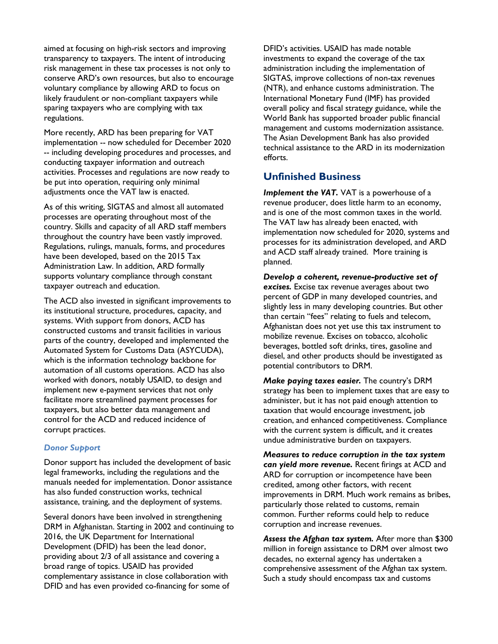aimed at focusing on high-risk sectors and improving transparency to taxpayers. The intent of introducing risk management in these tax processes is not only to conserve ARD's own resources, but also to encourage voluntary compliance by allowing ARD to focus on likely fraudulent or non-compliant taxpayers while sparing taxpayers who are complying with tax regulations.

More recently, ARD has been preparing for VAT implementation -- now scheduled for December 2020 -- including developing procedures and processes, and conducting taxpayer information and outreach activities. Processes and regulations are now ready to be put into operation, requiring only minimal adjustments once the VAT law is enacted.

As of this writing, SIGTAS and almost all automated processes are operating throughout most of the country. Skills and capacity of all ARD staff members throughout the country have been vastly improved. Regulations, rulings, manuals, forms, and procedures have been developed, based on the 2015 Tax Administration Law. In addition, ARD formally supports voluntary compliance through constant taxpayer outreach and education.

The ACD also invested in significant improvements to its institutional structure, procedures, capacity, and systems. With support from donors, ACD has constructed customs and transit facilities in various parts of the country, developed and implemented the Automated System for Customs Data (ASYCUDA), which is the information technology backbone for automation of all customs operations. ACD has also worked with donors, notably USAID, to design and implement new e-payment services that not only facilitate more streamlined payment processes for taxpayers, but also better data management and control for the ACD and reduced incidence of corrupt practices.

#### *Donor Support*

Donor support has included the development of basic legal frameworks, including the regulations and the manuals needed for implementation. Donor assistance has also funded construction works, technical assistance, training, and the deployment of systems.

Several donors have been involved in strengthening DRM in Afghanistan. Starting in 2002 and continuing to 2016, the UK Department for International Development (DFID) has been the lead donor, providing about 2/3 of all assistance and covering a broad range of topics. USAID has provided complementary assistance in close collaboration with DFID and has even provided co-financing for some of

DFID's activities. USAID has made notable investments to expand the coverage of the tax administration including the implementation of SIGTAS, improve collections of non-tax revenues (NTR), and enhance customs administration. The International Monetary Fund (IMF) has provided overall policy and fiscal strategy guidance, while the World Bank has supported broader public financial management and customs modernization assistance. The Asian Development Bank has also provided technical assistance to the ARD in its modernization efforts.

## **Unfinished Business**

*Implement the VAT.* VAT is a powerhouse of a revenue producer, does little harm to an economy, and is one of the most common taxes in the world. The VAT law has already been enacted, with implementation now scheduled for 2020, systems and processes for its administration developed, and ARD and ACD staff already trained. More training is planned.

*Develop a coherent, revenue-productive set of excises.* Excise tax revenue averages about two percent of GDP in many developed countries, and slightly less in many developing countries. But other than certain "fees" relating to fuels and telecom, Afghanistan does not yet use this tax instrument to mobilize revenue. Excises on tobacco, alcoholic beverages, bottled soft drinks, tires, gasoline and diesel, and other products should be investigated as potential contributors to DRM.

*Make paying taxes easier.* The country's DRM strategy has been to implement taxes that are easy to administer, but it has not paid enough attention to taxation that would encourage investment, job creation, and enhanced competitiveness. Compliance with the current system is difficult, and it creates undue administrative burden on taxpayers.

*Measures to reduce corruption in the tax system can yield more revenue.* Recent firings at ACD and ARD for corruption or incompetence have been credited, among other factors, with recent improvements in DRM. Much work remains as bribes, particularly those related to customs, remain common. Further reforms could help to reduce corruption and increase revenues.

*Assess the Afghan tax system.* After more than \$300 million in foreign assistance to DRM over almost two decades, no external agency has undertaken a comprehensive assessment of the Afghan tax system. Such a study should encompass tax and customs